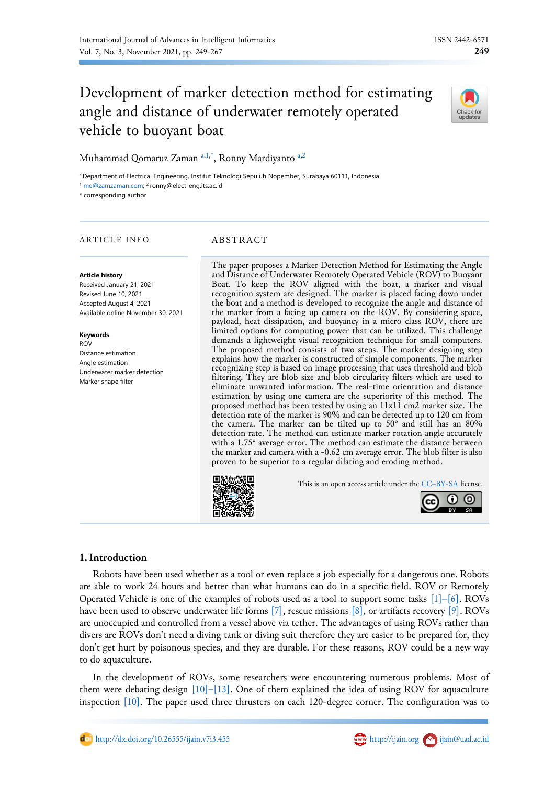# Development of marker detection method for estimating angle and distance of underwater remotely operated vehicle to buoyant boat



Muhammad Qomaruz Zaman [a,](#page-0-0)[1](#page-0-1)[,\\*](#page-0-2), Ronny M[a](#page-0-0)rdiyanto a[,2](#page-0-3)

<span id="page-0-1"></span><span id="page-0-0"></span><sup>a</sup> Department of Electrical Engineering, Institut Teknologi Sepuluh Nopember, Surabaya 60111, Indonesia <sup>1</sup> [me@zamzaman.com;](mailto:me@zamzaman.com) <sup>2</sup> ronny@elect-eng.its.ac.id

<span id="page-0-3"></span><span id="page-0-2"></span>\* corresponding author

### ARTICLE INFO ABSTRACT

#### **Article history**

Received January 21, 2021 Revised June 10, 2021 Accepted August 4, 2021 Available online November 30, 2021

# **Keywords**

ROV Distance estimation Angle estimation Underwater marker detection Marker shape filter

The paper proposes a Marker Detection Method for Estimating the Angle and Distance of Underwater Remotely Operated Vehicle (ROV) to Buoyant Boat. To keep the ROV aligned with the boat, a marker and visual recognition system are designed. The marker is placed facing down under the boat and a method is developed to recognize the angle and distance of the marker from a facing up camera on the ROV. By considering space, payload, heat dissipation, and buoyancy in a micro class ROV, there are limited options for computing power that can be utilized. This challenge demands a lightweight visual recognition technique for small computers. The proposed method consists of two steps. The marker designing step explains how the marker is constructed of simple components. The marker recognizing step is based on image processing that uses threshold and blob filtering. They are blob size and blob circularity filters which are used to eliminate unwanted information. The real-time orientation and distance estimation by using one camera are the superiority of this method. The proposed method has been tested by using an 11x11 cm2 marker size. The detection rate of the marker is 90% and can be detected up to 120 cm from the camera. The marker can be tilted up to 50° and still has an 80% detection rate. The method can estimate marker rotation angle accurately with a 1.75° average error. The method can estimate the distance between the marker and camera with a -0.62 cm average error. The blob filter is also proven to be superior to a regular dilating and eroding method.



This is an open access article under the CC–[BY-SA](http://creativecommons.org/licenses/by-sa/4.0/) license.



# **1.Introduction**

Robots have been used whether as a tool or even replace a job especially for a dangerous one. Robots are able to work 24 hours and better than what humans can do in a specific field. ROV or Remotely Operated Vehicle is one of the examples of robots used as a tool to support some tasks  $[1]$ [–](#page-4-0)[\[6\].](#page-16-1) ROVs have been used to observe underwater life forms [\[7\],](#page-16-2) rescue missions [\[8\],](#page-16-3) or artifacts recovery [\[9\].](#page-17-0) ROVs are unoccupied and controlled from a vessel above via tether. The advantages of using ROVs rather than divers are ROVs don't need a diving tank or diving suit therefore they are easier to be prepared for, they don't get hurt by poisonous species, and they are durable. For these reasons, ROV could be a new way to do aquaculture.

In the development of ROVs, some researchers were encountering numerous problems. Most of them were debating design [\[10\]](#page-17-1)[–](#page-17-2)[\[13\].](#page-17-3) One of them explained the idea of using ROV for aquaculture inspection [\[10\].](#page-17-1) The paper used three thrusters on each 120-degree corner. The configuration was to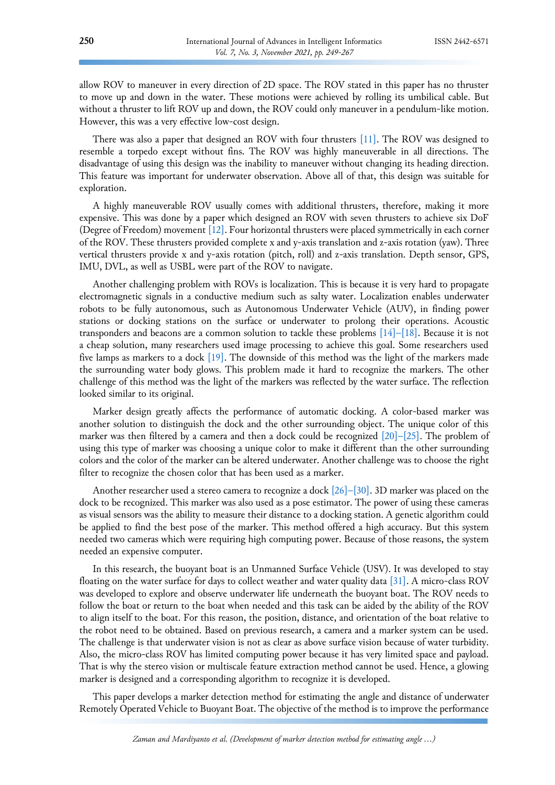allow ROV to maneuver in every direction of 2D space. The ROV stated in this paper has no thruster to move up and down in the water. These motions were achieved by rolling its umbilical cable. But without a thruster to lift ROV up and down, the ROV could only maneuver in a pendulum-like motion. However, this was a very effective low-cost design.

There was also a paper that designed an ROV with four thrusters [\[11\].](#page-17-2) The ROV was designed to resemble a torpedo except without fins. The ROV was highly maneuverable in all directions. The disadvantage of using this design was the inability to maneuver without changing its heading direction. This feature was important for underwater observation. Above all of that, this design was suitable for exploration.

A highly maneuverable ROV usually comes with additional thrusters, therefore, making it more expensive. This was done by a paper which designed an ROV with seven thrusters to achieve six DoF (Degree of Freedom) movement [\[12\].](#page-17-4) Four horizontal thrusters were placed symmetrically in each corner of the ROV. These thrusters provided complete x and y-axis translation and z-axis rotation (yaw). Three vertical thrusters provide x and y-axis rotation (pitch, roll) and z-axis translation. Depth sensor, GPS, IMU, DVL, as well as USBL were part of the ROV to navigate.

Another challenging problem with ROVs is localization. This is because it is very hard to propagate electromagnetic signals in a conductive medium such as salty water. Localization enables underwater robots to be fully autonomous, such as Autonomous Underwater Vehicle (AUV), in finding power stations or docking stations on the surface or underwater to prolong their operations. Acoustic transponders and beacons are a common solution to tackle these problems [\[14\]](#page-17-5)[–](#page-17-6)[\[18\].](#page-17-7) Because it is not a cheap solution, many researchers used image processing to achieve this goal. Some researchers used five lamps as markers to a dock [\[19\].](#page-17-8) The downside of this method was the light of the markers made the surrounding water body glows. This problem made it hard to recognize the markers. The other challenge of this method was the light of the markers was reflected by the water surface. The reflection looked similar to its original.

Marker design greatly affects the performance of automatic docking. A color-based marker was another solution to distinguish the dock and the other surrounding object. The unique color of this marker was then filtered by a camera and then a dock could be recognized  $[20]$ [–](#page-17-10) $[25]$ . The problem of using this type of marker was choosing a unique color to make it different than the other surrounding colors and the color of the marker can be altered underwater. Another challenge was to choose the right filter to recognize the chosen color that has been used as a marker.

Another researcher used a stereo camera to recognize a dock [\[26\]](#page-17-12)[–](#page-17-13)[\[30\].](#page-18-0) 3D marker was placed on the dock to be recognized. This marker was also used as a pose estimator. The power of using these cameras as visual sensors was the ability to measure their distance to a docking station. A genetic algorithm could be applied to find the best pose of the marker. This method offered a high accuracy. But this system needed two cameras which were requiring high computing power. Because of those reasons, the system needed an expensive computer.

In this research, the buoyant boat is an Unmanned Surface Vehicle (USV). It was developed to stay floating on the water surface for days to collect weather and water quality data [\[31\].](#page-18-1) A micro-class ROV was developed to explore and observe underwater life underneath the buoyant boat. The ROV needs to follow the boat or return to the boat when needed and this task can be aided by the ability of the ROV to align itself to the boat. For this reason, the position, distance, and orientation of the boat relative to the robot need to be obtained. Based on previous research, a camera and a marker system can be used. The challenge is that underwater vision is not as clear as above surface vision because of water turbidity. Also, the micro-class ROV has limited computing power because it has very limited space and payload. That is why the stereo vision or multiscale feature extraction method cannot be used. Hence, a glowing marker is designed and a corresponding algorithm to recognize it is developed.

This paper develops a marker detection method for estimating the angle and distance of underwater Remotely Operated Vehicle to Buoyant Boat. The objective of the method is to improve the performance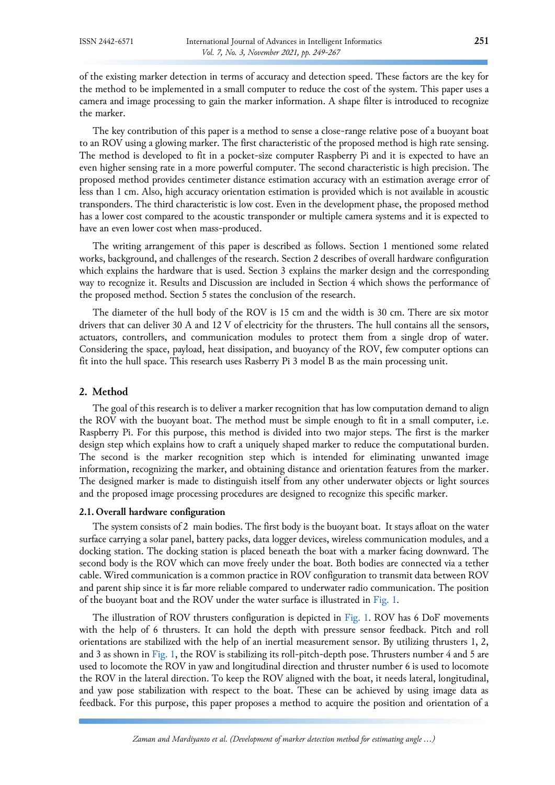of the existing marker detection in terms of accuracy and detection speed. These factors are the key for the method to be implemented in a small computer to reduce the cost of the system. This paper uses a camera and image processing to gain the marker information. A shape filter is introduced to recognize the marker.

The key contribution of this paper is a method to sense a close-range relative pose of a buoyant boat to an ROV using a glowing marker. The first characteristic of the proposed method is high rate sensing. The method is developed to fit in a pocket-size computer Raspberry Pi and it is expected to have an even higher sensing rate in a more powerful computer. The second characteristic is high precision. The proposed method provides centimeter distance estimation accuracy with an estimation average error of less than 1 cm. Also, high accuracy orientation estimation is provided which is not available in acoustic transponders. The third characteristic is low cost. Even in the development phase, the proposed method has a lower cost compared to the acoustic transponder or multiple camera systems and it is expected to have an even lower cost when mass-produced.

The writing arrangement of this paper is described as follows. Section 1 mentioned some related works, background, and challenges of the research. Section 2 describes of overall hardware configuration which explains the hardware that is used. Section 3 explains the marker design and the corresponding way to recognize it. Results and Discussion are included in Section 4 which shows the performance of the proposed method. Section 5 states the conclusion of the research.

The diameter of the hull body of the ROV is 15 cm and the width is 30 cm. There are six motor drivers that can deliver 30 A and 12 V of electricity for the thrusters. The hull contains all the sensors, actuators, controllers, and communication modules to protect them from a single drop of water. Considering the space, payload, heat dissipation, and buoyancy of the ROV, few computer options can fit into the hull space. This research uses Rasberry Pi 3 model B as the main processing unit.

# **2. Method**

The goal of this research is to deliver a marker recognition that has low computation demand to align the ROV with the buoyant boat. The method must be simple enough to fit in a small computer, i.e. Raspberry Pi. For this purpose, this method is divided into two major steps. The first is the marker design step which explains how to craft a uniquely shaped marker to reduce the computational burden. The second is the marker recognition step which is intended for eliminating unwanted image information, recognizing the marker, and obtaining distance and orientation features from the marker. The designed marker is made to distinguish itself from any other underwater objects or light sources and the proposed image processing procedures are designed to recognize this specific marker.

### **2.1. Overall hardware configuration**

The system consists of 2 main bodies. The first body is the buoyant boat. It stays afloat on the water surface carrying a solar panel, battery packs, data logger devices, wireless communication modules, and a docking station. The docking station is placed beneath the boat with a marker facing downward. The second body is the ROV which can move freely under the boat. Both bodies are connected via a tether cable. Wired communication is a common practice in ROV configuration to transmit data between ROV and parent ship since it is far more reliable compared to underwater radio communication. The position of the buoyant boat and the ROV under the water surface is illustrated in [Fig.](#page-3-0) 1.

The illustration of ROV thrusters configuration is depicted in [Fig.](#page-3-0) 1. ROV has 6 DoF movements with the help of 6 thrusters. It can hold the depth with pressure sensor feedback. Pitch and roll orientations are stabilized with the help of an inertial measurement sensor. By utilizing thrusters 1, 2, and 3 as shown in [Fig.](#page-3-0) 1, the ROV is stabilizing its roll-pitch-depth pose. Thrusters number 4 and 5 are used to locomote the ROV in yaw and longitudinal direction and thruster number 6 is used to locomote the ROV in the lateral direction. To keep the ROV aligned with the boat, it needs lateral, longitudinal, and yaw pose stabilization with respect to the boat. These can be achieved by using image data as feedback. For this purpose, this paper proposes a method to acquire the position and orientation of a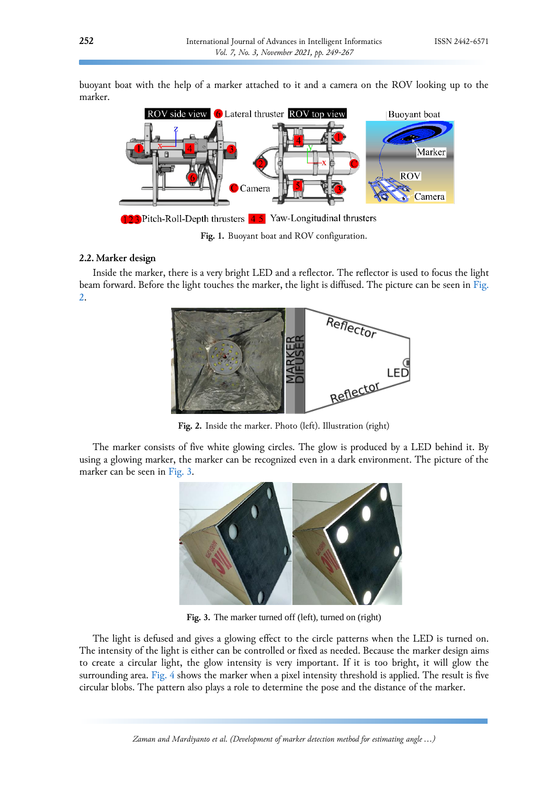buoyant boat with the help of a marker attached to it and a camera on the ROV looking up to the marker.



<span id="page-3-0"></span>**Fig. 1.** Buoyant boat and ROV configuration.

# **2.2. Marker design**

Inside the marker, there is a very bright LED and a reflector. The reflector is used to focus the light beam forward. Before the light touches the marker, the light is diffused. The picture can be seen i[n Fig.](#page-3-1) [2.](#page-3-1)



<span id="page-3-1"></span>**Fig. 2.** Inside the marker. Photo (left). Illustration (right)

The marker consists of five white glowing circles. The glow is produced by a LED behind it. By using a glowing marker, the marker can be recognized even in a dark environment. The picture of the marker can be seen in [Fig.](#page-3-2) 3.

<span id="page-3-2"></span>

Fig. 3. The marker turned off (left), turned on (right)

The light is defused and gives a glowing effect to the circle patterns when the LED is turned on. The intensity of the light is either can be controlled or fixed as needed. Because the marker design aims to create a circular light, the glow intensity is very important. If it is too bright, it will glow the surrounding area. [Fig. 4](#page-4-0) shows the marker when a pixel intensity threshold is applied. The result is five circular blobs. The pattern also plays a role to determine the pose and the distance of the marker.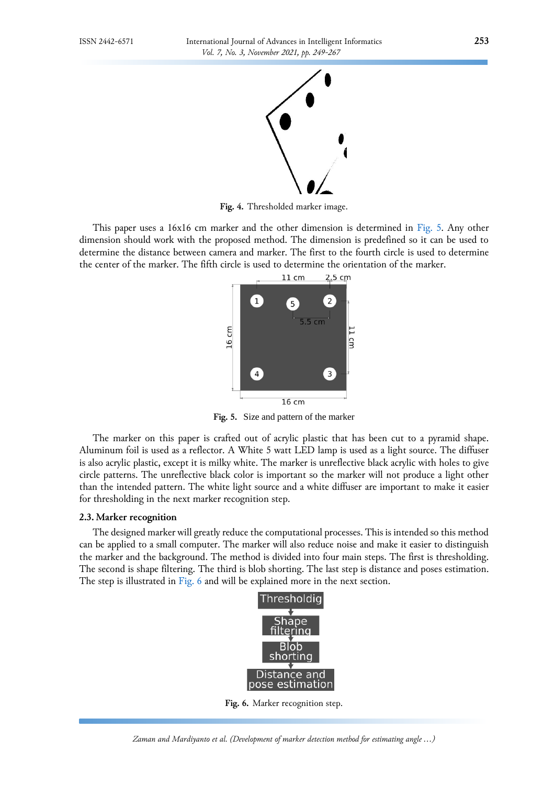

**Fig. 4.** Thresholded marker image.

This paper uses a 16x16 cm marker and the other dimension is determined in [Fig.](#page-4-1) 5. Any other dimension should work with the proposed method. The dimension is predefined so it can be used to determine the distance between camera and marker. The first to the fourth circle is used to determine the center of the marker. The fifth circle is used to determine the orientation of the marker.

<span id="page-4-1"></span><span id="page-4-0"></span>

**Fig. 5.** Size and pattern of the marker

The marker on this paper is crafted out of acrylic plastic that has been cut to a pyramid shape. Aluminum foil is used as a reflector. A White 5 watt LED lamp is used as a light source. The diffuser is also acrylic plastic, except it is milky white. The marker is unreflective black acrylic with holes to give circle patterns. The unreflective black color is important so the marker will not produce a light other than the intended pattern. The white light source and a white diffuser are important to make it easier for thresholding in the next marker recognition step.

#### **2.3. Marker recognition**

The designed marker will greatly reduce the computational processes. This is intended so this method can be applied to a small computer. The marker will also reduce noise and make it easier to distinguish the marker and the background. The method is divided into four main steps. The first is thresholding. The second is shape filtering. The third is blob shorting. The last step is distance and poses estimation. The step is illustrated in [Fig.](#page-4-2) 6 and will be explained more in the next section.

<span id="page-4-2"></span>

**Fig. 6.** Marker recognition step.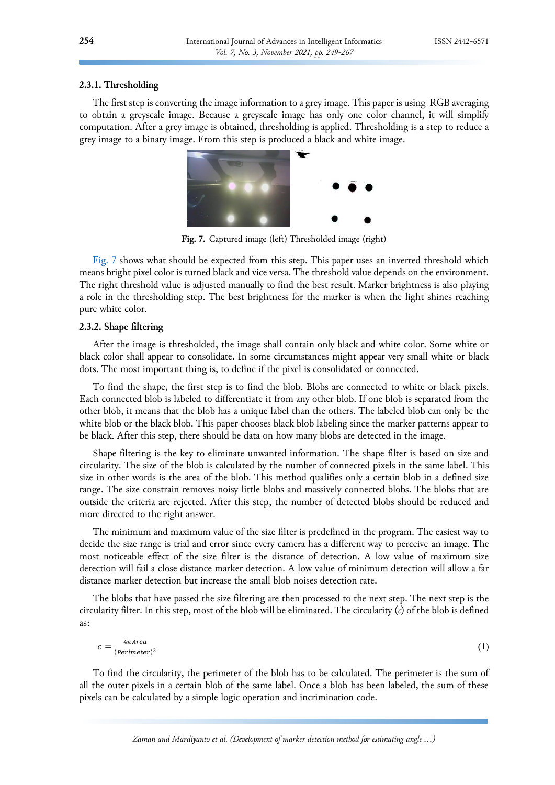# **2.3.1. Thresholding**

The first step is converting the image information to a grey image. This paper is using RGB averaging to obtain a greyscale image. Because a greyscale image has only one color channel, it will simplify computation. After a grey image is obtained, thresholding is applied. Thresholding is a step to reduce a grey image to a binary image. From this step is produced a black and white image.



<span id="page-5-0"></span>**Fig. 7.** Captured image (left) Thresholded image (right)

[Fig.](#page-5-0) 7 shows what should be expected from this step. This paper uses an inverted threshold which means bright pixel color is turned black and vice versa. The threshold value depends on the environment. The right threshold value is adjusted manually to find the best result. Marker brightness is also playing a role in the thresholding step. The best brightness for the marker is when the light shines reaching pure white color.

# **2.3.2. Shape filtering**

After the image is thresholded, the image shall contain only black and white color. Some white or black color shall appear to consolidate. In some circumstances might appear very small white or black dots. The most important thing is, to define if the pixel is consolidated or connected.

To find the shape, the first step is to find the blob. Blobs are connected to white or black pixels. Each connected blob is labeled to differentiate it from any other blob. If one blob is separated from the other blob, it means that the blob has a unique label than the others. The labeled blob can only be the white blob or the black blob. This paper chooses black blob labeling since the marker patterns appear to be black. After this step, there should be data on how many blobs are detected in the image.

Shape filtering is the key to eliminate unwanted information. The shape filter is based on size and circularity. The size of the blob is calculated by the number of connected pixels in the same label. This size in other words is the area of the blob. This method qualifies only a certain blob in a defined size range. The size constrain removes noisy little blobs and massively connected blobs. The blobs that are outside the criteria are rejected. After this step, the number of detected blobs should be reduced and more directed to the right answer.

The minimum and maximum value of the size filter is predefined in the program. The easiest way to decide the size range is trial and error since every camera has a different way to perceive an image. The most noticeable effect of the size filter is the distance of detection. A low value of maximum size detection will fail a close distance marker detection. A low value of minimum detection will allow a far distance marker detection but increase the small blob noises detection rate.

The blobs that have passed the size filtering are then processed to the next step. The next step is the circularity filter. In this step, most of the blob will be eliminated. The circularity (*c*) of the blob is defined as:

$$
c = \frac{4\pi Area}{(Perimeter)^2} \tag{1}
$$

To find the circularity, the perimeter of the blob has to be calculated. The perimeter is the sum of all the outer pixels in a certain blob of the same label. Once a blob has been labeled, the sum of these pixels can be calculated by a simple logic operation and incrimination code.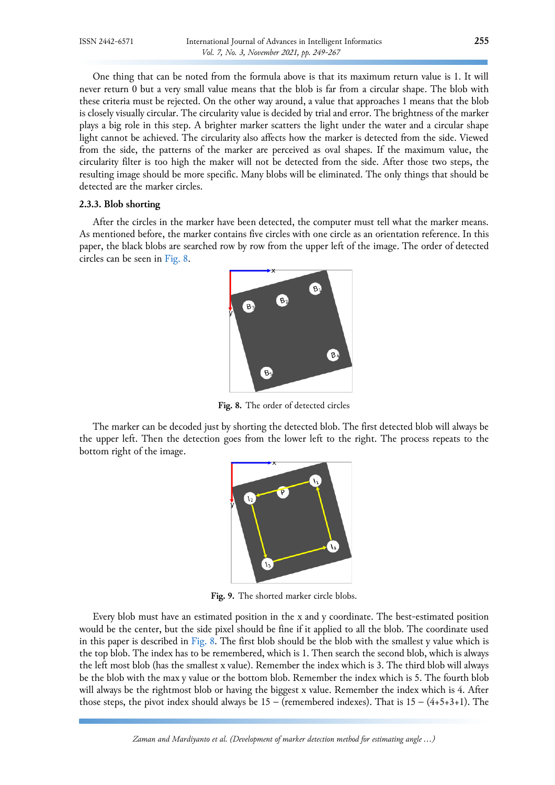One thing that can be noted from the formula above is that its maximum return value is 1. It will never return 0 but a very small value means that the blob is far from a circular shape. The blob with these criteria must be rejected. On the other way around, a value that approaches 1 means that the blob is closely visually circular. The circularity value is decided by trial and error. The brightness of the marker plays a big role in this step. A brighter marker scatters the light under the water and a circular shape light cannot be achieved. The circularity also affects how the marker is detected from the side. Viewed from the side, the patterns of the marker are perceived as oval shapes. If the maximum value, the circularity filter is too high the maker will not be detected from the side. After those two steps, the resulting image should be more specific. Many blobs will be eliminated. The only things that should be detected are the marker circles.

# **2.3.3. Blob shorting**

After the circles in the marker have been detected, the computer must tell what the marker means. As mentioned before, the marker contains five circles with one circle as an orientation reference. In this paper, the black blobs are searched row by row from the upper left of the image. The order of detected circles can be seen in [Fig.](#page-6-0) 8.



**Fig. 8.** The order of detected circles

The marker can be decoded just by shorting the detected blob. The first detected blob will always be the upper left. Then the detection goes from the lower left to the right. The process repeats to the bottom right of the image.

<span id="page-6-0"></span>

<span id="page-6-1"></span>**Fig. 9.** The shorted marker circle blobs.

Every blob must have an estimated position in the x and y coordinate. The best-estimated position would be the center, but the side pixel should be fine if it applied to all the blob. The coordinate used in this paper is described in [Fig.](#page-6-0) 8. The first blob should be the blob with the smallest y value which is the top blob. The index has to be remembered, which is 1. Then search the second blob, which is always the left most blob (has the smallest x value). Remember the index which is 3. The third blob will always be the blob with the max y value or the bottom blob. Remember the index which is 5. The fourth blob will always be the rightmost blob or having the biggest x value. Remember the index which is 4. After those steps, the pivot index should always be  $15$  – (remembered indexes). That is  $15 - (4+5+3+1)$ . The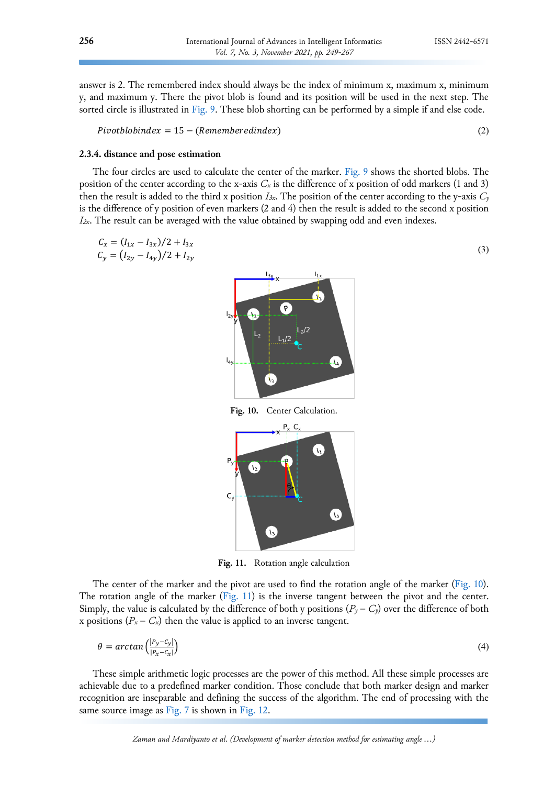answer is 2. The remembered index should always be the index of minimum x, maximum x, minimum y, and maximum y. There the pivot blob is found and its position will be used in the next step. The sorted circle is illustrated in [Fig.](#page-6-1) 9. These blob shorting can be performed by a simple if and else code.

 $Pivotblobindex = 15 - (Remembered index)$  (2)

#### **2.3.4. distance and pose estimation**

The four circles are used to calculate the center of the marker. [Fig.](#page-6-1) 9 shows the shorted blobs. The position of the center according to the x-axis *C<sup>x</sup>* is the difference of x position of odd markers (1 and 3) then the result is added to the third x position *I*<sub>3x</sub>. The position of the center according to the y-axis  $C_y$ is the difference of y position of even markers (2 and 4) then the result is added to the second x position *I2x*. The result can be averaged with the value obtained by swapping odd and even indexes.

$$
C_x = (I_{1x} - I_{3x})/2 + I_{3x}
$$
  
\n
$$
C_y = (I_{2y} - I_{4y})/2 + I_{2y}
$$
\n(3)



<span id="page-7-0"></span> $\mathcal{L}_3$ 

**Fig. 10.** Center Calculation.



<span id="page-7-1"></span>**Fig. 11.** Rotation angle calculation

The center of the marker and the pivot are used to find the rotation angle of the marker [\(Fig.](#page-7-0) 10). The rotation angle of the marker [\(Fig.](#page-7-1) 11) is the inverse tangent between the pivot and the center. Simply, the value is calculated by the difference of both y positions  $(P_\gamma - C_\gamma)$  over the difference of both x positions  $(P_x - C_x)$  then the value is applied to an inverse tangent.

$$
\theta = \arctan\left(\frac{|p_y - c_y|}{|p_x - c_x|}\right) \tag{4}
$$

These simple arithmetic logic processes are the power of this method. All these simple processes are achievable due to a predefined marker condition. Those conclude that both marker design and marker recognition are inseparable and defining the success of the algorithm. The end of processing with the same source image as [Fig.](#page-8-0) 7 is shown in Fig. 12.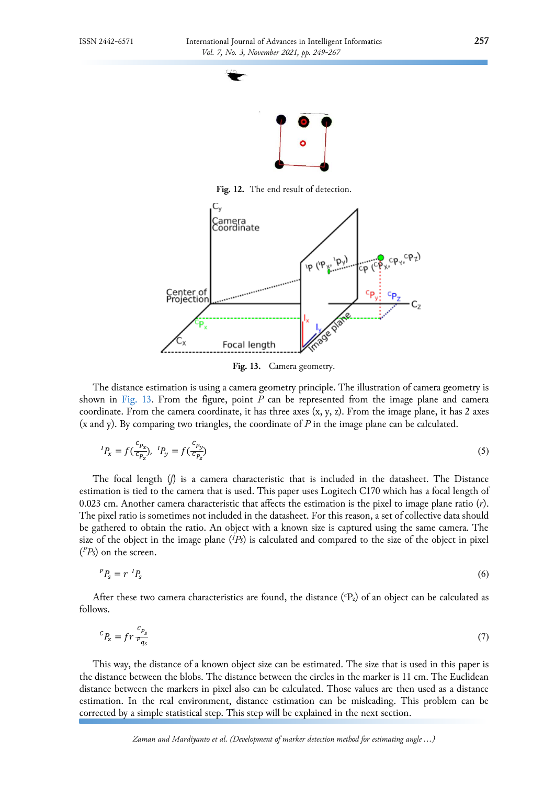

<span id="page-8-0"></span>**Fig. 12.** The end result of detection.



<span id="page-8-1"></span>**Fig. 13.** Camera geometry.

The distance estimation is using a camera geometry principle. The illustration of camera geometry is shown in [Fig.](#page-8-1) 13. From the figure, point *P* can be represented from the image plane and camera coordinate. From the camera coordinate, it has three axes  $(x, y, z)$ . From the image plane, it has 2 axes (x and y). By comparing two triangles, the coordinate of *P* in the image plane can be calculated.

$$
{}^{I}P_{x} = f(\frac{c_{P_{x}}}{c_{P_{z}}}), {}^{I}P_{y} = f(\frac{c_{P_{y}}}{c_{P_{z}}})
$$
\n(5)

The focal length (*f*) is a camera characteristic that is included in the datasheet. The Distance estimation is tied to the camera that is used. This paper uses Logitech C170 which has a focal length of 0.023 cm. Another camera characteristic that affects the estimation is the pixel to image plane ratio (*r*). The pixel ratio is sometimes not included in the datasheet. For this reason, a set of collective data should be gathered to obtain the ratio. An object with a known size is captured using the same camera. The size of the object in the image plane (*<sup>I</sup>Ps*) is calculated and compared to the size of the object in pixel ( *<sup>P</sup>Ps*) on the screen.

$$
{}^{P}P_{s} = r \, {}^{I}P_{s} \tag{6}
$$

After these two camera characteristics are found, the distance  $({}^{\text{c}}P_{z})$  of an object can be calculated as follows.

$$
{}^{C}P_{z} = fr \frac{{}^{C}P_{s}}{{}^{P}q_{s}} \tag{7}
$$

This way, the distance of a known object size can be estimated. The size that is used in this paper is the distance between the blobs. The distance between the circles in the marker is 11 cm. The Euclidean distance between the markers in pixel also can be calculated. Those values are then used as a distance estimation. In the real environment, distance estimation can be misleading. This problem can be corrected by a simple statistical step. This step will be explained in the next section.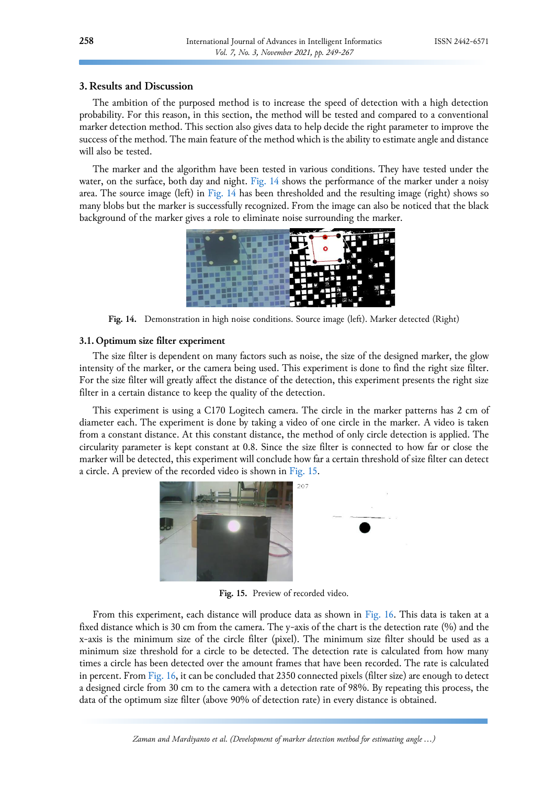# **3. Results and Discussion**

The ambition of the purposed method is to increase the speed of detection with a high detection probability. For this reason, in this section, the method will be tested and compared to a conventional marker detection method. This section also gives data to help decide the right parameter to improve the success of the method. The main feature of the method which is the ability to estimate angle and distance will also be tested.

The marker and the algorithm have been tested in various conditions. They have tested under the water, on the surface, both day and night. [Fig.](#page-9-0) 14 shows the performance of the marker under a noisy area. The source image (left) in [Fig.](#page-9-0) 14 has been thresholded and the resulting image (right) shows so many blobs but the marker is successfully recognized. From the image can also be noticed that the black background of the marker gives a role to eliminate noise surrounding the marker.

<span id="page-9-0"></span>

**Fig. 14.** Demonstration in high noise conditions. Source image (left). Marker detected (Right)

# **3.1. Optimum size filter experiment**

The size filter is dependent on many factors such as noise, the size of the designed marker, the glow intensity of the marker, or the camera being used. This experiment is done to find the right size filter. For the size filter will greatly affect the distance of the detection, this experiment presents the right size filter in a certain distance to keep the quality of the detection.

This experiment is using a C170 Logitech camera. The circle in the marker patterns has 2 cm of diameter each. The experiment is done by taking a video of one circle in the marker. A video is taken from a constant distance. At this constant distance, the method of only circle detection is applied. The circularity parameter is kept constant at 0.8. Since the size filter is connected to how far or close the marker will be detected, this experiment will conclude how far a certain threshold of size filter can detect a circle. A preview of the recorded video is shown in [Fig.](#page-9-1) 15.

<span id="page-9-1"></span>

**Fig. 15.** Preview of recorded video.

From this experiment, each distance will produce data as shown in [Fig.](#page-10-0) 16. This data is taken at a fixed distance which is 30 cm from the camera. The y-axis of the chart is the detection rate (%) and the x-axis is the minimum size of the circle filter (pixel). The minimum size filter should be used as a minimum size threshold for a circle to be detected. The detection rate is calculated from how many times a circle has been detected over the amount frames that have been recorded. The rate is calculated in percent. From [Fig.](#page-10-0) 16, it can be concluded that 2350 connected pixels (filter size) are enough to detect a designed circle from 30 cm to the camera with a detection rate of 98%. By repeating this process, the data of the optimum size filter (above 90% of detection rate) in every distance is obtained.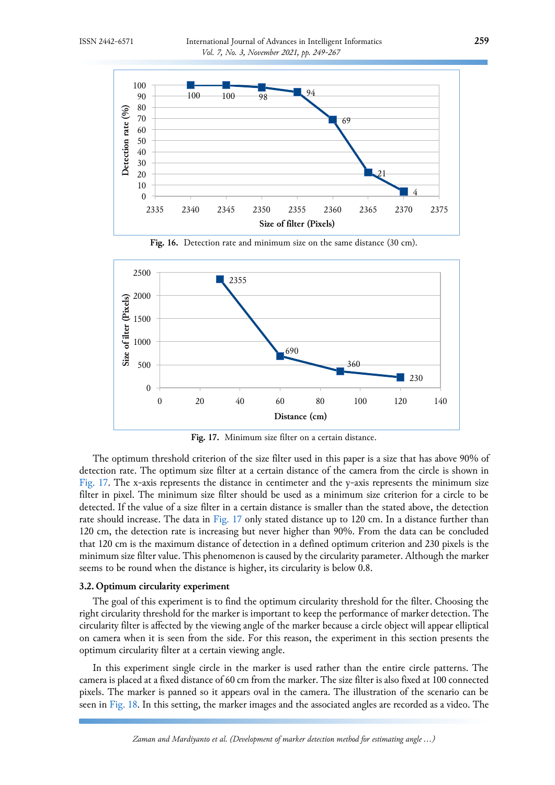

<span id="page-10-0"></span>**Fig. 16.** Detection rate and minimum size on the same distance (30 cm).



<span id="page-10-1"></span>**Fig. 17.** Minimum size filter on a certain distance.

The optimum threshold criterion of the size filter used in this paper is a size that has above 90% of detection rate. The optimum size filter at a certain distance of the camera from the circle is shown in [Fig.](#page-10-1) 17. The x-axis represents the distance in centimeter and the y-axis represents the minimum size filter in pixel. The minimum size filter should be used as a minimum size criterion for a circle to be detected. If the value of a size filter in a certain distance is smaller than the stated above, the detection rate should increase. The data in [Fig.](#page-10-1) 17 only stated distance up to 120 cm. In a distance further than 120 cm, the detection rate is increasing but never higher than 90%. From the data can be concluded that 120 cm is the maximum distance of detection in a defined optimum criterion and 230 pixels is the minimum size filter value. This phenomenon is caused by the circularity parameter. Although the marker seems to be round when the distance is higher, its circularity is below 0.8.

# **3.2. Optimum circularity experiment**

The goal of this experiment is to find the optimum circularity threshold for the filter. Choosing the right circularity threshold for the marker is important to keep the performance of marker detection. The circularity filter is affected by the viewing angle of the marker because a circle object will appear elliptical on camera when it is seen from the side. For this reason, the experiment in this section presents the optimum circularity filter at a certain viewing angle.

In this experiment single circle in the marker is used rather than the entire circle patterns. The camera is placed at a fixed distance of 60 cm from the marker. The size filter is also fixed at 100 connected pixels. The marker is panned so it appears oval in the camera. The illustration of the scenario can be seen in [Fig.](#page-11-0) 18. In this setting, the marker images and the associated angles are recorded as a video. The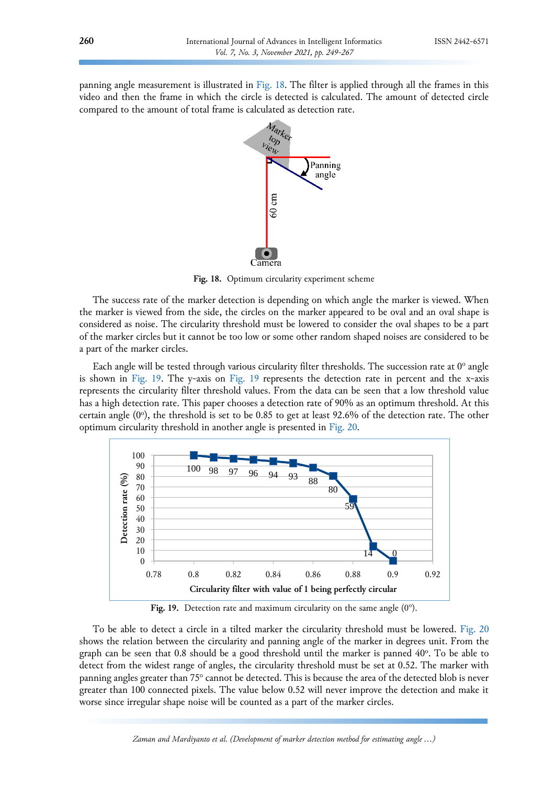panning angle measurement is illustrated in [Fig.](#page-11-0) 18. The filter is applied through all the frames in this video and then the frame in which the circle is detected is calculated. The amount of detected circle compared to the amount of total frame is calculated as detection rate.



<span id="page-11-0"></span>**Fig. 18.** Optimum circularity experiment scheme

The success rate of the marker detection is depending on which angle the marker is viewed. When the marker is viewed from the side, the circles on the marker appeared to be oval and an oval shape is considered as noise. The circularity threshold must be lowered to consider the oval shapes to be a part of the marker circles but it cannot be too low or some other random shaped noises are considered to be a part of the marker circles.

Each angle will be tested through various circularity filter thresholds. The succession rate at  $0^{\circ}$  angle is shown in [Fig.](#page-11-1) 19. The y-axis on [Fig.](#page-11-1) 19 represents the detection rate in percent and the x-axis represents the circularity filter threshold values. From the data can be seen that a low threshold value has a high detection rate. This paper chooses a detection rate of 90% as an optimum threshold. At this certain angle (0°), the threshold is set to be 0.85 to get at least 92.6% of the detection rate. The other optimum circularity threshold in another angle is presented in [Fig.](#page-12-0) 20.



<span id="page-11-1"></span>Fig. 19. Detection rate and maximum circularity on the same angle  $(0^{\circ})$ .

To be able to detect a circle in a tilted marker the circularity threshold must be lowered. [Fig.](#page-12-0) 20 shows the relation between the circularity and panning angle of the marker in degrees unit. From the graph can be seen that 0.8 should be a good threshold until the marker is panned 40°. To be able to detect from the widest range of angles, the circularity threshold must be set at 0.52. The marker with panning angles greater than 75° cannot be detected. This is because the area of the detected blob is never greater than 100 connected pixels. The value below 0.52 will never improve the detection and make it worse since irregular shape noise will be counted as a part of the marker circles.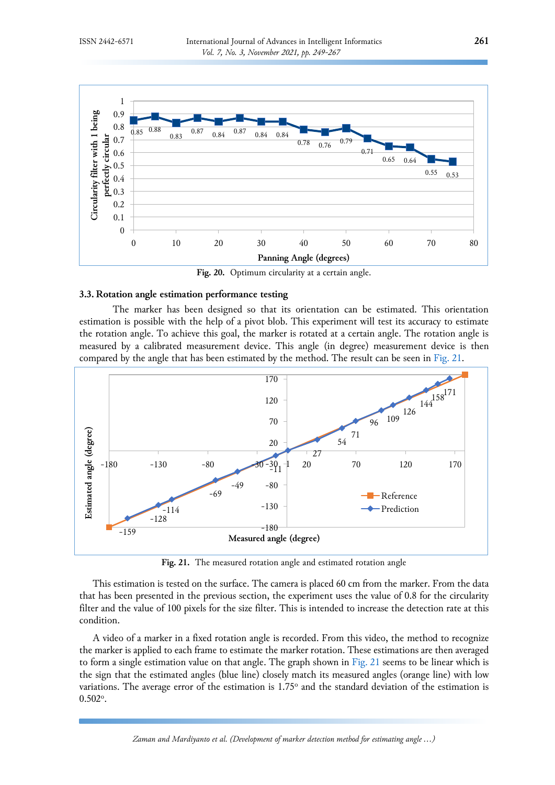

<span id="page-12-0"></span>**Fig. 20.** Optimum circularity at a certain angle.

### **3.3. Rotation angle estimation performance testing**

The marker has been designed so that its orientation can be estimated. This orientation estimation is possible with the help of a pivot blob. This experiment will test its accuracy to estimate the rotation angle. To achieve this goal, the marker is rotated at a certain angle. The rotation angle is measured by a calibrated measurement device. This angle (in degree) measurement device is then compared by the angle that has been estimated by the method. The result can be seen in [Fig.](#page-12-1) 21.



<span id="page-12-1"></span>**Fig. 21.** The measured rotation angle and estimated rotation angle

This estimation is tested on the surface. The camera is placed 60 cm from the marker. From the data that has been presented in the previous section, the experiment uses the value of 0.8 for the circularity filter and the value of 100 pixels for the size filter. This is intended to increase the detection rate at this condition.

A video of a marker in a fixed rotation angle is recorded. From this video, the method to recognize the marker is applied to each frame to estimate the marker rotation. These estimations are then averaged to form a single estimation value on that angle. The graph shown in [Fig.](#page-12-1) 21 seems to be linear which is the sign that the estimated angles (blue line) closely match its measured angles (orange line) with low variations. The average error of the estimation is 1.75° and the standard deviation of the estimation is  $0.502^{\circ}$ .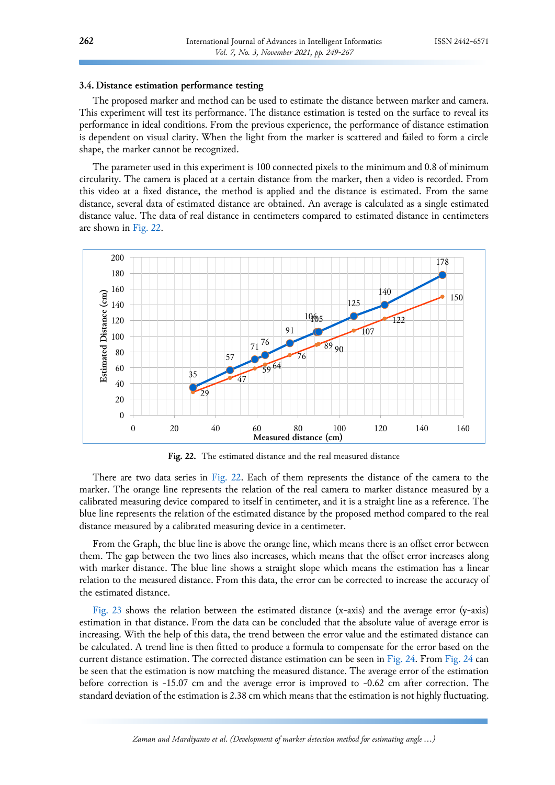# **3.4. Distance estimation performance testing**

The proposed marker and method can be used to estimate the distance between marker and camera. This experiment will test its performance. The distance estimation is tested on the surface to reveal its performance in ideal conditions. From the previous experience, the performance of distance estimation is dependent on visual clarity. When the light from the marker is scattered and failed to form a circle shape, the marker cannot be recognized.

The parameter used in this experiment is 100 connected pixels to the minimum and 0.8 of minimum circularity. The camera is placed at a certain distance from the marker, then a video is recorded. From this video at a fixed distance, the method is applied and the distance is estimated. From the same distance, several data of estimated distance are obtained. An average is calculated as a single estimated distance value. The data of real distance in centimeters compared to estimated distance in centimeters are shown in [Fig.](#page-13-0) 22.



<span id="page-13-0"></span>**Fig. 22.** The estimated distance and the real measured distance

There are two data series in [Fig.](#page-13-0) 22. Each of them represents the distance of the camera to the marker. The orange line represents the relation of the real camera to marker distance measured by a calibrated measuring device compared to itself in centimeter, and it is a straight line as a reference. The blue line represents the relation of the estimated distance by the proposed method compared to the real distance measured by a calibrated measuring device in a centimeter.

From the Graph, the blue line is above the orange line, which means there is an offset error between them. The gap between the two lines also increases, which means that the offset error increases along with marker distance. The blue line shows a straight slope which means the estimation has a linear relation to the measured distance. From this data, the error can be corrected to increase the accuracy of the estimated distance.

[Fig.](#page-14-0) 23 shows the relation between the estimated distance (x-axis) and the average error (y-axis) estimation in that distance. From the data can be concluded that the absolute value of average error is increasing. With the help of this data, the trend between the error value and the estimated distance can be calculated. A trend line is then fitted to produce a formula to compensate for the error based on the current distance estimation. The corrected distance estimation can be seen in [Fig.](#page-14-1) 24. From [Fig.](#page-14-1) 24 can be seen that the estimation is now matching the measured distance. The average error of the estimation before correction is -15.07 cm and the average error is improved to -0.62 cm after correction. The standard deviation of the estimation is 2.38 cm which means that the estimation is not highly fluctuating.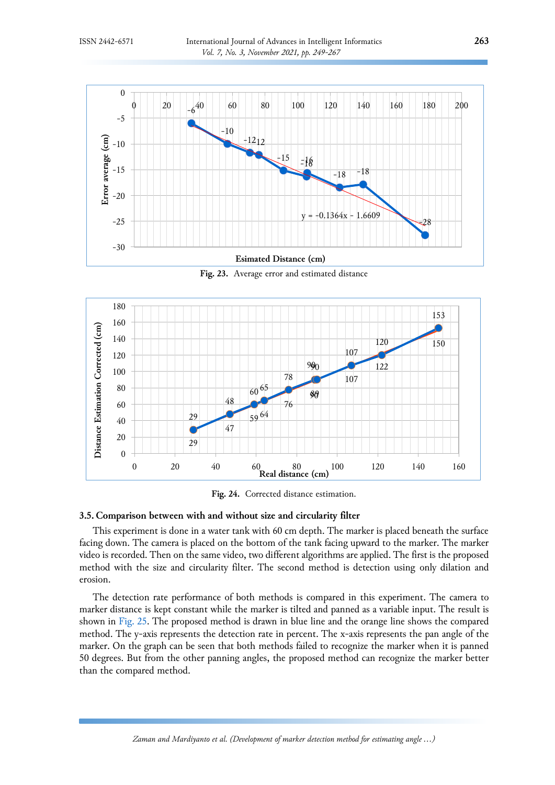

<span id="page-14-0"></span>**Fig. 23.** Average error and estimated distance



<span id="page-14-1"></span>**Fig. 24.** Corrected distance estimation.

# **3.5. Comparison between with and without size and circularity filter**

This experiment is done in a water tank with 60 cm depth. The marker is placed beneath the surface facing down. The camera is placed on the bottom of the tank facing upward to the marker. The marker video is recorded. Then on the same video, two different algorithms are applied. The first is the proposed method with the size and circularity filter. The second method is detection using only dilation and erosion.

The detection rate performance of both methods is compared in this experiment. The camera to marker distance is kept constant while the marker is tilted and panned as a variable input. The result is shown in [Fig.](#page-15-0) 25. The proposed method is drawn in blue line and the orange line shows the compared method. The y-axis represents the detection rate in percent. The x-axis represents the pan angle of the marker. On the graph can be seen that both methods failed to recognize the marker when it is panned 50 degrees. But from the other panning angles, the proposed method can recognize the marker better than the compared method.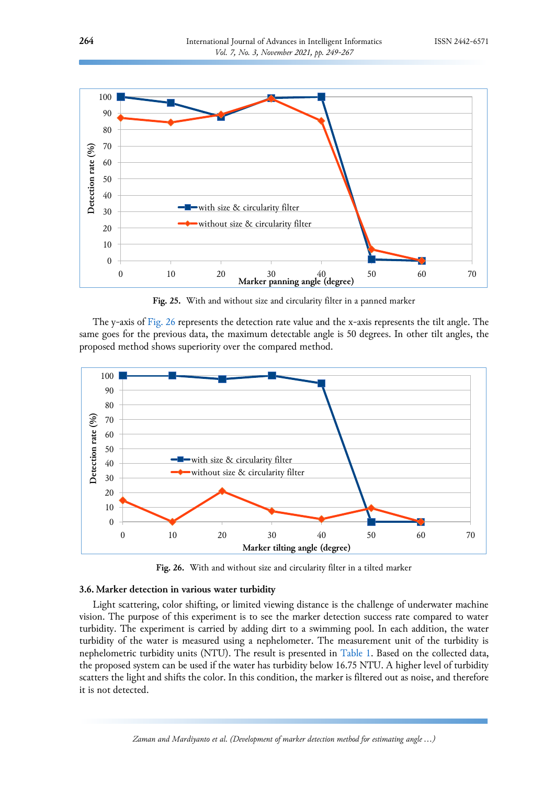

<span id="page-15-0"></span>**Fig. 25.** With and without size and circularity filter in a panned marker

The y-axis of [Fig.](#page-15-1) 26 represents the detection rate value and the x-axis represents the tilt angle. The same goes for the previous data, the maximum detectable angle is 50 degrees. In other tilt angles, the proposed method shows superiority over the compared method.



<span id="page-15-1"></span>**Fig. 26.** With and without size and circularity filter in a tilted marker

# **3.6. Marker detection in various water turbidity**

Light scattering, color shifting, or limited viewing distance is the challenge of underwater machine vision. The purpose of this experiment is to see the marker detection success rate compared to water turbidity. The experiment is carried by adding dirt to a swimming pool. In each addition, the water turbidity of the water is measured using a nephelometer. The measurement unit of the turbidity is nephelometric turbidity units (NTU). The result is presented in [Table 1.](#page-16-4) Based on the collected data, the proposed system can be used if the water has turbidity below 16.75 NTU. A higher level of turbidity scatters the light and shifts the color. In this condition, the marker is filtered out as noise, and therefore it is not detected.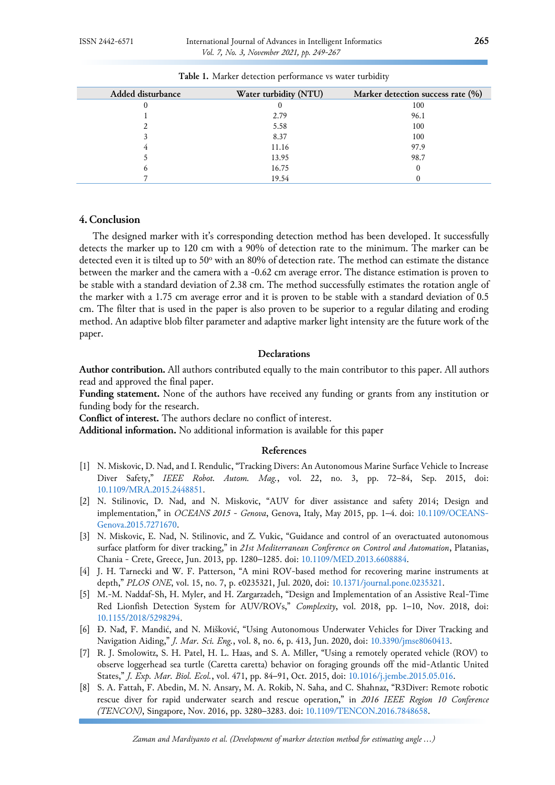| Added disturbance | Water turbidity (NTU) | Marker detection success rate (%) |
|-------------------|-----------------------|-----------------------------------|
|                   |                       | 100                               |
|                   | 2.79                  | 96.1                              |
|                   | 5.58                  | 100                               |
| 3                 | 8.37                  | 100                               |
| 4                 | 11.16                 | 97.9                              |
|                   | 13.95                 | 98.7                              |
| b                 | 16.75                 | 0                                 |
|                   | 19.54                 |                                   |

<span id="page-16-4"></span>**Table 1.** Marker detection performance vs water turbidity

### **4. Conclusion**

The designed marker with it's corresponding detection method has been developed. It successfully detects the marker up to 120 cm with a 90% of detection rate to the minimum. The marker can be detected even it is tilted up to 50° with an 80% of detection rate. The method can estimate the distance between the marker and the camera with a -0.62 cm average error. The distance estimation is proven to be stable with a standard deviation of 2.38 cm. The method successfully estimates the rotation angle of the marker with a 1.75 cm average error and it is proven to be stable with a standard deviation of 0.5 cm. The filter that is used in the paper is also proven to be superior to a regular dilating and eroding method. An adaptive blob filter parameter and adaptive marker light intensity are the future work of the paper.

# **Declarations**

**Author contribution.** All authors contributed equally to the main contributor to this paper. All authors read and approved the final paper.

**Funding statement.** None of the authors have received any funding or grants from any institution or funding body for the research.

**Conflict of interest.** The authors declare no conflict of interest.

**Additional information.** No additional information is available for this paper

# **References**

- <span id="page-16-0"></span>[1] N. Miskovic, D. Nad, and I. Rendulic, "Tracking Divers: An Autonomous Marine Surface Vehicle to Increase Diver Safety," *IEEE Robot. Autom. Mag.*, vol. 22, no. 3, pp. 72–84, Sep. 2015, doi: [10.1109/MRA.2015.2448851.](https://doi.org/10.1109/MRA.2015.2448851)
- [2] N. Stilinovic, D. Nad, and N. Miskovic, "AUV for diver assistance and safety 2014; Design and implementation," in *OCEANS 2015 - Genova*, Genova, Italy, May 2015, pp. 1–4. doi: [10.1109/OCEANS-](https://doi.org/10.1109/OCEANS-Genova.2015.7271670)[Genova.2015.7271670.](https://doi.org/10.1109/OCEANS-Genova.2015.7271670)
- [3] N. Miskovic, E. Nad, N. Stilinovic, and Z. Vukic, "Guidance and control of an overactuated autonomous surface platform for diver tracking," in *21st Mediterranean Conference on Control and Automation*, Platanias, Chania - Crete, Greece, Jun. 2013, pp. 1280–1285. doi: [10.1109/MED.2013.6608884.](https://doi.org/10.1109/MED.2013.6608884)
- [4] J. H. Tarnecki and W. F. Patterson, "A mini ROV-based method for recovering marine instruments at depth," *PLOS ONE*, vol. 15, no. 7, p. e0235321, Jul. 2020, doi: [10.1371/journal.pone.0235321.](https://doi.org/10.1371/journal.pone.0235321)
- [5] M.-M. Naddaf-Sh, H. Myler, and H. Zargarzadeh, "Design and Implementation of an Assistive Real-Time Red Lionfish Detection System for AUV/ROVs," *Complexity*, vol. 2018, pp. 1–10, Nov. 2018, doi: [10.1155/2018/5298294.](https://doi.org/10.1155/2018/5298294)
- <span id="page-16-1"></span>[6] Đ. Nađ, F. Mandić, and N. Mišković, "Using Autonomous Underwater Vehicles for Diver Tracking and Navigation Aiding," *J. Mar. Sci. Eng.*, vol. 8, no. 6, p. 413, Jun. 2020, doi: [10.3390/jmse8060413.](https://doi.org/10.3390/jmse8060413)
- <span id="page-16-2"></span>[7] R. J. Smolowitz, S. H. Patel, H. L. Haas, and S. A. Miller, "Using a remotely operated vehicle (ROV) to observe loggerhead sea turtle (Caretta caretta) behavior on foraging grounds off the mid-Atlantic United States," *J. Exp. Mar. Biol. Ecol.*, vol. 471, pp. 84–91, Oct. 2015, doi: [10.1016/j.jembe.2015.05.016.](https://doi.org/10.1016/j.jembe.2015.05.016)
- <span id="page-16-3"></span>[8] S. A. Fattah, F. Abedin, M. N. Ansary, M. A. Rokib, N. Saha, and C. Shahnaz, "R3Diver: Remote robotic rescue diver for rapid underwater search and rescue operation," in *2016 IEEE Region 10 Conference (TENCON)*, Singapore, Nov. 2016, pp. 3280–3283. doi: [10.1109/TENCON.2016.7848658.](https://doi.org/10.1109/TENCON.2016.7848658)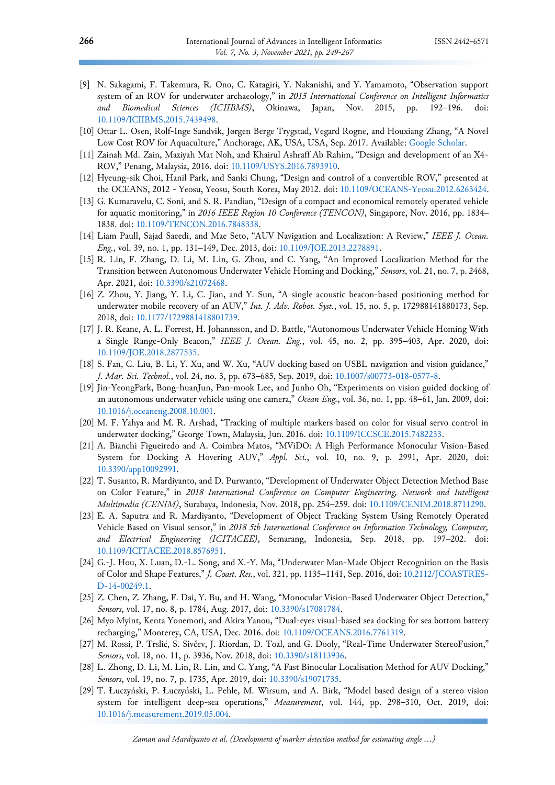- <span id="page-17-0"></span>[9] N. Sakagami, F. Takemura, R. Ono, C. Katagiri, Y. Nakanishi, and Y. Yamamoto, "Observation support system of an ROV for underwater archaeology," in *2015 International Conference on Intelligent Informatics and Biomedical Sciences (ICIIBMS)*, Okinawa, Japan, Nov. 2015, pp. 192–196. doi: [10.1109/ICIIBMS.2015.7439498.](https://doi.org/10.1109/ICIIBMS.2015.7439498)
- <span id="page-17-1"></span>[10] Ottar L. Osen, Rolf-Inge Sandvik, Jørgen Berge Trygstad, Vegard Rogne, and Houxiang Zhang, "A Novel Low Cost ROV for Aquaculture," Anchorage, AK, USA, USA, Sep. 2017. Available: [Google Scholar.](https://scholar.google.co.id/scholar?hl=id&as_sdt=0%2C5&q=A+Novel+Low+Cost+ROV+for+Aquaculture&btnG=)
- <span id="page-17-2"></span>[11] Zainah Md. Zain, Maziyah Mat Noh, and Khairul Ashraff Ab Rahim, "Design and development of an X4- ROV," Penang, Malaysia, 2016. doi: [10.1109/USYS.2016.7893910.](https://doi.org/10.1109/USYS.2016.7893910)
- <span id="page-17-4"></span>[12] Hyeung-sik Choi, Hanil Park, and Sanki Chung, "Design and control of a convertible ROV," presented at the OCEANS, 2012 - Yeosu, Yeosu, South Korea, May 2012. doi: [10.1109/OCEANS-Yeosu.2012.6263424.](https://doi.org/10.1109/OCEANS-Yeosu.2012.6263424)
- <span id="page-17-3"></span>[13] G. Kumaravelu, C. Soni, and S. R. Pandian, "Design of a compact and economical remotely operated vehicle for aquatic monitoring," in *2016 IEEE Region 10 Conference (TENCON)*, Singapore, Nov. 2016, pp. 1834– 1838. doi: [10.1109/TENCON.2016.7848338.](https://doi.org/10.1109/TENCON.2016.7848338)
- <span id="page-17-5"></span>[14] Liam Paull, Sajad Saeedi, and Mae Seto, "AUV Navigation and Localization: A Review," *IEEE J. Ocean. Eng.*, vol. 39, no. 1, pp. 131–149, Dec. 2013, doi: [10.1109/JOE.2013.2278891.](https://doi.org/10.1109/JOE.2013.2278891)
- [15] R. Lin, F. Zhang, D. Li, M. Lin, G. Zhou, and C. Yang, "An Improved Localization Method for the Transition between Autonomous Underwater Vehicle Homing and Docking," *Sensors*, vol. 21, no. 7, p. 2468, Apr. 2021, doi: [10.3390/s21072468.](https://doi.org/10.3390/s21072468)
- <span id="page-17-6"></span>[16] Z. Zhou, Y. Jiang, Y. Li, C. Jian, and Y. Sun, "A single acoustic beacon-based positioning method for underwater mobile recovery of an AUV," *Int. J. Adv. Robot. Syst.*, vol. 15, no. 5, p. 172988141880173, Sep. 2018, doi: [10.1177/1729881418801739.](https://doi.org/10.1177/1729881418801739)
- [17] J. R. Keane, A. L. Forrest, H. Johannsson, and D. Battle, "Autonomous Underwater Vehicle Homing With a Single Range-Only Beacon," *IEEE J. Ocean. Eng.*, vol. 45, no. 2, pp. 395–403, Apr. 2020, doi: [10.1109/JOE.2018.2877535.](https://doi.org/10.1109/JOE.2018.2877535)
- <span id="page-17-7"></span>[18] S. Fan, C. Liu, B. Li, Y. Xu, and W. Xu, "AUV docking based on USBL navigation and vision guidance," *J. Mar. Sci. Technol.*, vol. 24, no. 3, pp. 673–685, Sep. 2019, doi: [10.1007/s00773-018-0577-8.](https://doi.org/10.1007/s00773-018-0577-8)
- <span id="page-17-8"></span>[19] Jin-YeongPark, Bong-huanJun, Pan-mook Lee, and Junho Oh, "Experiments on vision guided docking of an autonomous underwater vehicle using one camera," *Ocean Eng.*, vol. 36, no. 1, pp. 48–61, Jan. 2009, doi: [10.1016/j.oceaneng.2008.10.001.](https://doi.org/10.1016/j.oceaneng.2008.10.001)
- <span id="page-17-9"></span>[20] M. F. Yahya and M. R. Arshad, "Tracking of multiple markers based on color for visual servo control in underwater docking," George Town, Malaysia, Jun. 2016. doi: [10.1109/ICCSCE.2015.7482233.](https://doi.org/10.1109/ICCSCE.2015.7482233)
- [21] A. Bianchi Figueiredo and A. Coimbra Matos, "MViDO: A High Performance Monocular Vision-Based System for Docking A Hovering AUV," *Appl. Sci.*, vol. 10, no. 9, p. 2991, Apr. 2020, doi: [10.3390/app10092991.](https://doi.org/10.3390/app10092991)
- [22] T. Susanto, R. Mardiyanto, and D. Purwanto, "Development of Underwater Object Detection Method Base on Color Feature," in *2018 International Conference on Computer Engineering, Network and Intelligent Multimedia (CENIM)*, Surabaya, Indonesia, Nov. 2018, pp. 254–259. doi: [10.1109/CENIM.2018.8711290.](https://doi.org/10.1109/CENIM.2018.8711290)
- <span id="page-17-10"></span>[23] E. A. Saputra and R. Mardiyanto, "Development of Object Tracking System Using Remotely Operated Vehicle Based on Visual sensor," in *2018 5th International Conference on Information Technology, Computer, and Electrical Engineering (ICITACEE)*, Semarang, Indonesia, Sep. 2018, pp. 197–202. doi: [10.1109/ICITACEE.2018.8576951.](https://doi.org/10.1109/ICITACEE.2018.8576951)
- [24] G.-J. Hou, X. Luan, D.-L. Song, and X.-Y. Ma, "Underwater Man-Made Object Recognition on the Basis of Color and Shape Features," *J. Coast. Res.*, vol. 321, pp. 1135–1141, Sep. 2016, doi: [10.2112/JCOASTRES-](https://doi.org/10.2112/JCOASTRES-D-14-00249.1)[D-14-00249.1.](https://doi.org/10.2112/JCOASTRES-D-14-00249.1)
- <span id="page-17-11"></span>[25] Z. Chen, Z. Zhang, F. Dai, Y. Bu, and H. Wang, "Monocular Vision-Based Underwater Object Detection," *Sensors*, vol. 17, no. 8, p. 1784, Aug. 2017, doi: [10.3390/s17081784.](https://doi.org/10.3390/s17081784)
- <span id="page-17-12"></span>[26] Myo Myint, Kenta Yonemori, and Akira Yanou, "Dual-eyes visual-based sea docking for sea bottom battery recharging," Monterey, CA, USA, Dec. 2016. doi: [10.1109/OCEANS.2016.7761319.](https://doi.org/10.1109/OCEANS.2016.7761319)
- [27] M. Rossi, P. Trslić, S. Sivčev, J. Riordan, D. Toal, and G. Dooly, "Real-Time Underwater StereoFusion," *Sensors*, vol. 18, no. 11, p. 3936, Nov. 2018, doi: [10.3390/s18113936.](https://doi.org/10.3390/s18113936)
- <span id="page-17-13"></span>[28] L. Zhong, D. Li, M. Lin, R. Lin, and C. Yang, "A Fast Binocular Localisation Method for AUV Docking," *Sensors*, vol. 19, no. 7, p. 1735, Apr. 2019, doi: [10.3390/s19071735.](https://doi.org/10.3390/s19071735)
- [29] T. Łuczyński, P. Łuczyński, L. Pehle, M. Wirsum, and A. Birk, "Model based design of a stereo vision system for intelligent deep-sea operations," *Measurement*, vol. 144, pp. 298–310, Oct. 2019, doi: [10.1016/j.measurement.2019.05.004.](https://doi.org/10.1016/j.measurement.2019.05.004)